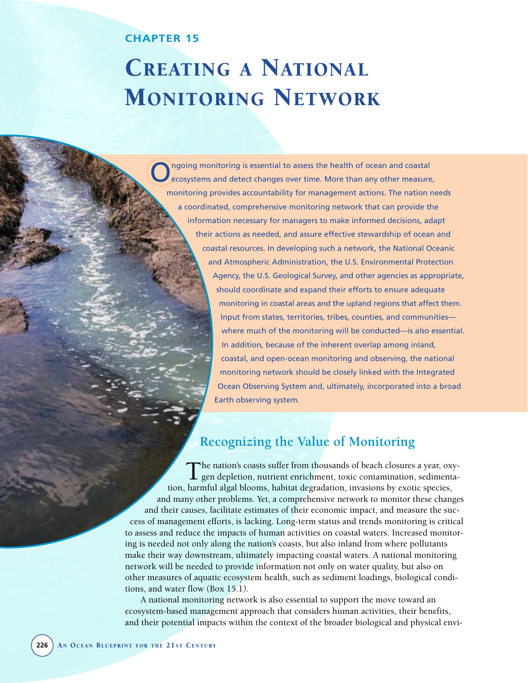## **CHAPTER 15**

# CREATING A NATIONAL MONITORING NETWORK

ngoing monitoring is essential to assess the health of ocean and coastal ecosystems and detect changes over time. More than any other measure, monitoring provides accountability for management actions. The nation needs a coordinated, comprehensive monitoring network that can provide the information necessary for managers to make informed decisions, adapt their actions as needed, and assure effective stewardship of ocean and coastal resources. In developing such a network, the National Oceanic and Atmospheric Administration, the U.S. Environmental Protection Agency, the U.S. Geological Survey, and other agencies as appropriate, should coordinate and expand their efforts to ensure adequate monitoring in coastal areas and the upland regions that affect them. Input from states, territories, tribes, counties, and communities where much of the monitoring will be conducted—is also essential. In addition, because of the inherent overlap among inland, coastal, and open-ocean monitoring and observing, the national

monitoring network should be closely linked with the Integrated Ocean Observing System and, ultimately, incorporated into a broad Earth observing system.

# **Recognizing the Value of Monitoring**

The nation's coasts suffer from thousands of beach closures a year, oxy-gen depletion, nutrient enrichment, toxic contamination, sedimentation, harmful algal blooms, habitat degradation, invasions by exotic species, and many other problems. Yet, a comprehensive network to monitor these changes and their causes, facilitate estimates of their economic impact, and measure the success of management efforts, is lacking. Long-term status and trends monitoring is critical to assess and reduce the impacts of human activities on coastal waters. Increased monitoring is needed not only along the nation's coasts, but also inland from where pollutants make their way downstream, ultimately impacting coastal waters. A national monitoring network will be needed to provide information not only on water quality, but also on other measures of aquatic ecosystem health, such as sediment loadings, biological conditions, and water flow (Box 15.1).

A national monitoring network is also essential to support the move toward an ecosystem-based management approach that considers human activities, their benefits, and their potential impacts within the context of the broader biological and physical envi-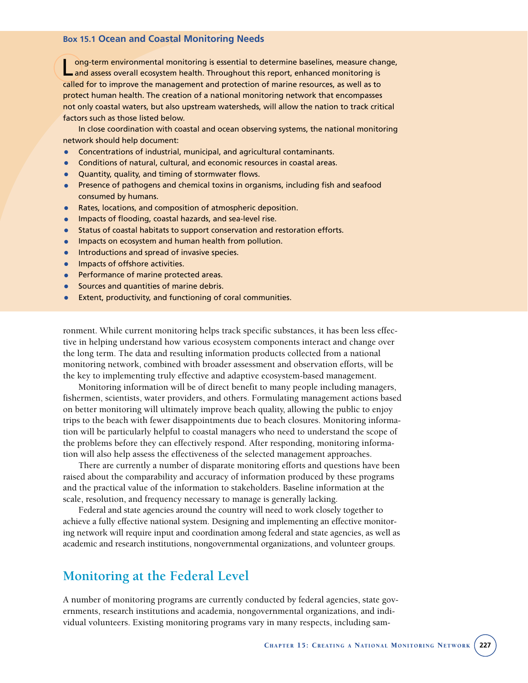#### **Box 15.1 Ocean and Coastal Monitoring Needs**

Long-term environmental monitoring is essential to determine baselines, measure change,<br>Land assess overall ecosystem health. Throughout this report, enhanced monitoring is called for to improve the management and protection of marine resources, as well as to protect human health. The creation of a national monitoring network that encompasses not only coastal waters, but also upstream watersheds, will allow the nation to track critical factors such as those listed below.

In close coordination with coastal and ocean observing systems, the national monitoring network should help document:

- Concentrations of industrial, municipal, and agricultural contaminants.
- Conditions of natural, cultural, and economic resources in coastal areas.
- Quantity, quality, and timing of stormwater flows.
- Presence of pathogens and chemical toxins in organisms, including fish and seafood consumed by humans.
- Rates, locations, and composition of atmospheric deposition.
- Impacts of flooding, coastal hazards, and sea-level rise.
- Status of coastal habitats to support conservation and restoration efforts.<br>• Impacts on ecosystem and buman health from pollution
- Impacts on ecosystem and human health from pollution.
- **•** Introductions and spread of invasive species.
- Impacts of offshore activities.
- Performance of marine protected areas.
- Sources and quantities of marine debris.
- Extent, productivity, and functioning of coral communities.

ronment. While current monitoring helps track specific substances, it has been less effective in helping understand how various ecosystem components interact and change over the long term. The data and resulting information products collected from a national monitoring network, combined with broader assessment and observation efforts, will be the key to implementing truly effective and adaptive ecosystem-based management.

Monitoring information will be of direct benefit to many people including managers, fishermen, scientists, water providers, and others. Formulating management actions based on better monitoring will ultimately improve beach quality, allowing the public to enjoy trips to the beach with fewer disappointments due to beach closures. Monitoring information will be particularly helpful to coastal managers who need to understand the scope of the problems before they can effectively respond. After responding, monitoring information will also help assess the effectiveness of the selected management approaches.

There are currently a number of disparate monitoring efforts and questions have been raised about the comparability and accuracy of information produced by these programs and the practical value of the information to stakeholders. Baseline information at the scale, resolution, and frequency necessary to manage is generally lacking.

Federal and state agencies around the country will need to work closely together to achieve a fully effective national system. Designing and implementing an effective monitoring network will require input and coordination among federal and state agencies, as well as academic and research institutions, nongovernmental organizations, and volunteer groups.

## **Monitoring at the Federal Level**

A number of monitoring programs are currently conducted by federal agencies, state governments, research institutions and academia, nongovernmental organizations, and individual volunteers. Existing monitoring programs vary in many respects, including sam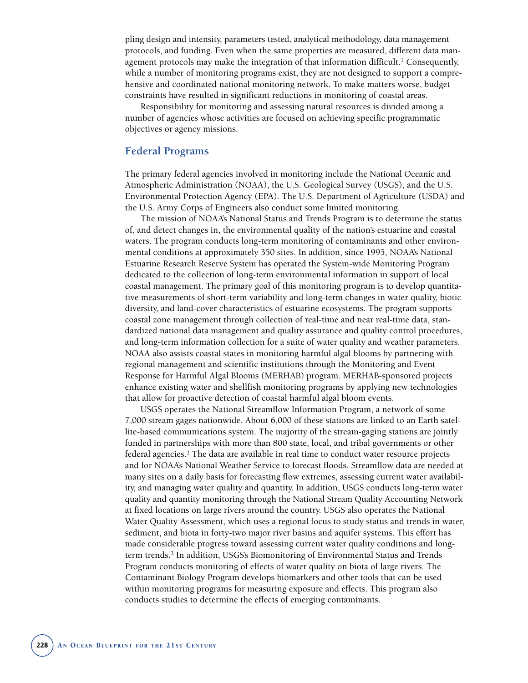pling design and intensity, parameters tested, analytical methodology, data management protocols, and funding. Even when the same properties are measured, different data management protocols may make the integration of that information difficult.<sup>1</sup> Consequently, while a number of monitoring programs exist, they are not designed to support a comprehensive and coordinated national monitoring network. To make matters worse, budget constraints have resulted in significant reductions in monitoring of coastal areas.

Responsibility for monitoring and assessing natural resources is divided among a number of agencies whose activities are focused on achieving specific programmatic objectives or agency missions.

## **Federal Programs**

The primary federal agencies involved in monitoring include the National Oceanic and Atmospheric Administration (NOAA), the U.S. Geological Survey (USGS), and the U.S. Environmental Protection Agency (EPA). The U.S. Department of Agriculture (USDA) and the U.S. Army Corps of Engineers also conduct some limited monitoring.

The mission of NOAA's National Status and Trends Program is to determine the status of, and detect changes in, the environmental quality of the nation's estuarine and coastal waters. The program conducts long-term monitoring of contaminants and other environmental conditions at approximately 350 sites. In addition, since 1995, NOAA's National Estuarine Research Reserve System has operated the System-wide Monitoring Program dedicated to the collection of long-term environmental information in support of local coastal management. The primary goal of this monitoring program is to develop quantitative measurements of short-term variability and long-term changes in water quality, biotic diversity, and land-cover characteristics of estuarine ecosystems. The program supports coastal zone management through collection of real-time and near real-time data, standardized national data management and quality assurance and quality control procedures, and long-term information collection for a suite of water quality and weather parameters. NOAA also assists coastal states in monitoring harmful algal blooms by partnering with regional management and scientific institutions through the Monitoring and Event Response for Harmful Algal Blooms (MERHAB) program. MERHAB-sponsored projects enhance existing water and shellfish monitoring programs by applying new technologies that allow for proactive detection of coastal harmful algal bloom events.

USGS operates the National Streamflow Information Program, a network of some 7,000 stream gages nationwide. About 6,000 of these stations are linked to an Earth satellite-based communications system. The majority of the stream-gaging stations are jointly funded in partnerships with more than 800 state, local, and tribal governments or other federal agencies.2 The data are available in real time to conduct water resource projects and for NOAA's National Weather Service to forecast floods. Streamflow data are needed at many sites on a daily basis for forecasting flow extremes, assessing current water availability, and managing water quality and quantity. In addition, USGS conducts long-term water quality and quantity monitoring through the National Stream Quality Accounting Network at fixed locations on large rivers around the country. USGS also operates the National Water Quality Assessment, which uses a regional focus to study status and trends in water, sediment, and biota in forty-two major river basins and aquifer systems. This effort has made considerable progress toward assessing current water quality conditions and longterm trends.3 In addition, USGS's Biomonitoring of Environmental Status and Trends Program conducts monitoring of effects of water quality on biota of large rivers. The Contaminant Biology Program develops biomarkers and other tools that can be used within monitoring programs for measuring exposure and effects. This program also conducts studies to determine the effects of emerging contaminants.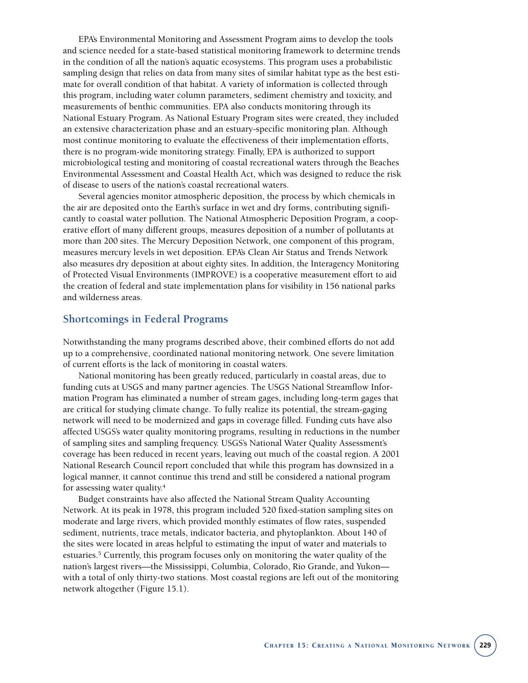EPA's Environmental Monitoring and Assessment Program aims to develop the tools and science needed for a state-based statistical monitoring framework to determine trends in the condition of all the nation's aquatic ecosystems. This program uses a probabilistic sampling design that relies on data from many sites of similar habitat type as the best estimate for overall condition of that habitat. A variety of information is collected through this program, including water column parameters, sediment chemistry and toxicity, and measurements of benthic communities. EPA also conducts monitoring through its National Estuary Program. As National Estuary Program sites were created, they included an extensive characterization phase and an estuary-specific monitoring plan. Although most continue monitoring to evaluate the effectiveness of their implementation efforts, there is no program-wide monitoring strategy. Finally, EPA is authorized to support microbiological testing and monitoring of coastal recreational waters through the Beaches Environmental Assessment and Coastal Health Act, which was designed to reduce the risk of disease to users of the nation's coastal recreational waters.

Several agencies monitor atmospheric deposition, the process by which chemicals in the air are deposited onto the Earth's surface in wet and dry forms, contributing significantly to coastal water pollution. The National Atmospheric Deposition Program, a cooperative effort of many different groups, measures deposition of a number of pollutants at more than 200 sites. The Mercury Deposition Network, one component of this program, measures mercury levels in wet deposition. EPA's Clean Air Status and Trends Network also measures dry deposition at about eighty sites. In addition, the Interagency Monitoring of Protected Visual Environments (IMPROVE) is a cooperative measurement effort to aid the creation of federal and state implementation plans for visibility in 156 national parks and wilderness areas.

## **Shortcomings in Federal Programs**

Notwithstanding the many programs described above, their combined efforts do not add up to a comprehensive, coordinated national monitoring network. One severe limitation of current efforts is the lack of monitoring in coastal waters.

National monitoring has been greatly reduced, particularly in coastal areas, due to funding cuts at USGS and many partner agencies. The USGS National Streamflow Information Program has eliminated a number of stream gages, including long-term gages that are critical for studying climate change. To fully realize its potential, the stream-gaging network will need to be modernized and gaps in coverage filled. Funding cuts have also affected USGS's water quality monitoring programs, resulting in reductions in the number of sampling sites and sampling frequency. USGS's National Water Quality Assessment's coverage has been reduced in recent years, leaving out much of the coastal region. A 2001 National Research Council report concluded that while this program has downsized in a logical manner, it cannot continue this trend and still be considered a national program for assessing water quality.4

Budget constraints have also affected the National Stream Quality Accounting Network. At its peak in 1978, this program included 520 fixed-station sampling sites on moderate and large rivers, which provided monthly estimates of flow rates, suspended sediment, nutrients, trace metals, indicator bacteria, and phytoplankton. About 140 of the sites were located in areas helpful to estimating the input of water and materials to estuaries.5 Currently, this program focuses only on monitoring the water quality of the nation's largest rivers—the Mississippi, Columbia, Colorado, Rio Grande, and Yukon with a total of only thirty-two stations. Most coastal regions are left out of the monitoring network altogether (Figure 15.1).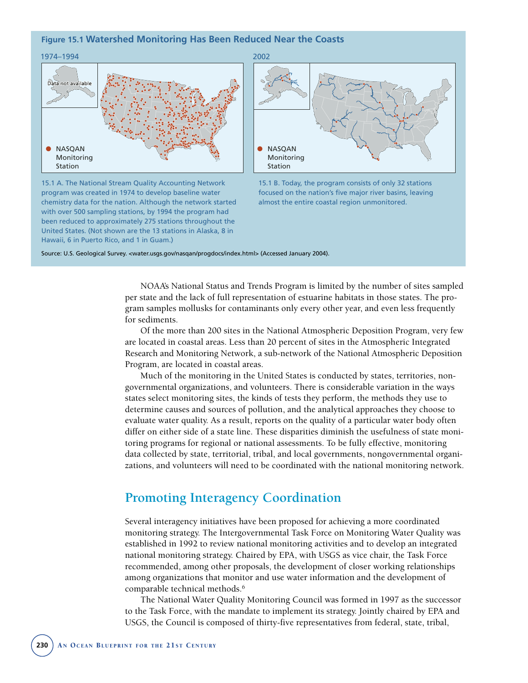#### **Figure 15.1 Watershed Monitoring Has Been Reduced Near the Coasts**



15.1 A. The National Stream Quality Accounting Network program was created in 1974 to develop baseline water chemistry data for the nation. Although the network started with over 500 sampling stations, by 1994 the program had been reduced to approximately 275 stations throughout the United States. (Not shown are the 13 stations in Alaska, 8 in Hawaii, 6 in Puerto Rico, and 1 in Guam.)



15.1 B. Today, the program consists of only 32 stations focused on the nation's five major river basins, leaving almost the entire coastal region unmonitored.

Source: U.S. Geological Survey. < water.usgs.gov/nasqan/progdocs/index.html> (Accessed January 2004).

NOAA's National Status and Trends Program is limited by the number of sites sampled per state and the lack of full representation of estuarine habitats in those states. The program samples mollusks for contaminants only every other year, and even less frequently for sediments.

Of the more than 200 sites in the National Atmospheric Deposition Program, very few are located in coastal areas. Less than 20 percent of sites in the Atmospheric Integrated Research and Monitoring Network, a sub-network of the National Atmospheric Deposition Program, are located in coastal areas.

Much of the monitoring in the United States is conducted by states, territories, nongovernmental organizations, and volunteers. There is considerable variation in the ways states select monitoring sites, the kinds of tests they perform, the methods they use to determine causes and sources of pollution, and the analytical approaches they choose to evaluate water quality. As a result, reports on the quality of a particular water body often differ on either side of a state line. These disparities diminish the usefulness of state monitoring programs for regional or national assessments. To be fully effective, monitoring data collected by state, territorial, tribal, and local governments, nongovernmental organizations, and volunteers will need to be coordinated with the national monitoring network.

## **Promoting Interagency Coordination**

Several interagency initiatives have been proposed for achieving a more coordinated monitoring strategy. The Intergovernmental Task Force on Monitoring Water Quality was established in 1992 to review national monitoring activities and to develop an integrated national monitoring strategy. Chaired by EPA, with USGS as vice chair, the Task Force recommended, among other proposals, the development of closer working relationships among organizations that monitor and use water information and the development of comparable technical methods.6

The National Water Quality Monitoring Council was formed in 1997 as the successor to the Task Force, with the mandate to implement its strategy. Jointly chaired by EPA and USGS, the Council is composed of thirty-five representatives from federal, state, tribal,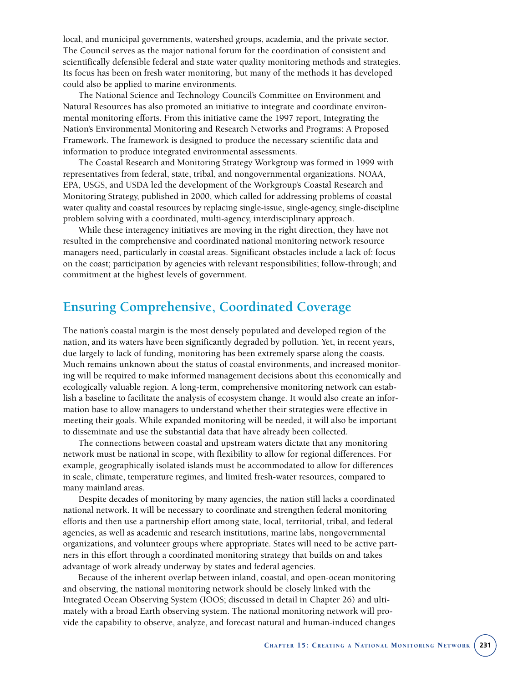local, and municipal governments, watershed groups, academia, and the private sector. The Council serves as the major national forum for the coordination of consistent and scientifically defensible federal and state water quality monitoring methods and strategies. Its focus has been on fresh water monitoring, but many of the methods it has developed could also be applied to marine environments.

The National Science and Technology Council's Committee on Environment and Natural Resources has also promoted an initiative to integrate and coordinate environmental monitoring efforts. From this initiative came the 1997 report, Integrating the Nation's Environmental Monitoring and Research Networks and Programs: A Proposed Framework. The framework is designed to produce the necessary scientific data and information to produce integrated environmental assessments.

The Coastal Research and Monitoring Strategy Workgroup was formed in 1999 with representatives from federal, state, tribal, and nongovernmental organizations. NOAA, EPA, USGS, and USDA led the development of the Workgroup's Coastal Research and Monitoring Strategy, published in 2000, which called for addressing problems of coastal water quality and coastal resources by replacing single-issue, single-agency, single-discipline problem solving with a coordinated, multi-agency, interdisciplinary approach.

While these interagency initiatives are moving in the right direction, they have not resulted in the comprehensive and coordinated national monitoring network resource managers need, particularly in coastal areas. Significant obstacles include a lack of: focus on the coast; participation by agencies with relevant responsibilities; follow-through; and commitment at the highest levels of government.

## **Ensuring Comprehensive, Coordinated Coverage**

The nation's coastal margin is the most densely populated and developed region of the nation, and its waters have been significantly degraded by pollution. Yet, in recent years, due largely to lack of funding, monitoring has been extremely sparse along the coasts. Much remains unknown about the status of coastal environments, and increased monitoring will be required to make informed management decisions about this economically and ecologically valuable region. A long-term, comprehensive monitoring network can establish a baseline to facilitate the analysis of ecosystem change. It would also create an information base to allow managers to understand whether their strategies were effective in meeting their goals. While expanded monitoring will be needed, it will also be important to disseminate and use the substantial data that have already been collected.

The connections between coastal and upstream waters dictate that any monitoring network must be national in scope, with flexibility to allow for regional differences. For example, geographically isolated islands must be accommodated to allow for differences in scale, climate, temperature regimes, and limited fresh-water resources, compared to many mainland areas.

Despite decades of monitoring by many agencies, the nation still lacks a coordinated national network. It will be necessary to coordinate and strengthen federal monitoring efforts and then use a partnership effort among state, local, territorial, tribal, and federal agencies, as well as academic and research institutions, marine labs, nongovernmental organizations, and volunteer groups where appropriate. States will need to be active partners in this effort through a coordinated monitoring strategy that builds on and takes advantage of work already underway by states and federal agencies.

Because of the inherent overlap between inland, coastal, and open-ocean monitoring and observing, the national monitoring network should be closely linked with the Integrated Ocean Observing System (IOOS; discussed in detail in Chapter 26) and ultimately with a broad Earth observing system. The national monitoring network will provide the capability to observe, analyze, and forecast natural and human-induced changes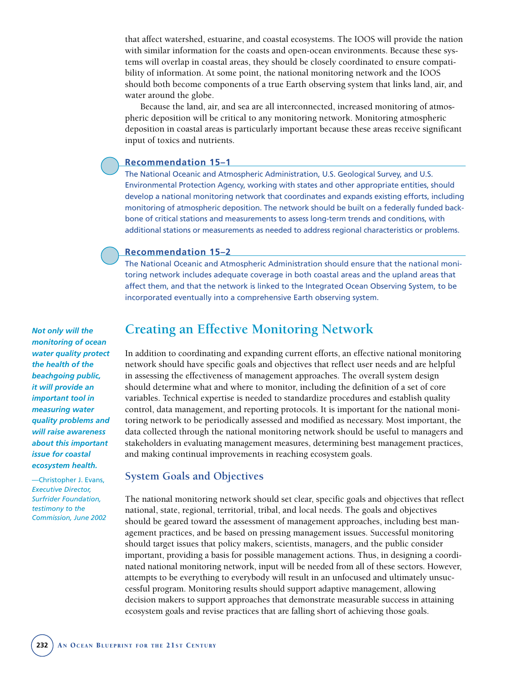that affect watershed, estuarine, and coastal ecosystems. The IOOS will provide the nation with similar information for the coasts and open-ocean environments. Because these systems will overlap in coastal areas, they should be closely coordinated to ensure compatibility of information. At some point, the national monitoring network and the IOOS should both become components of a true Earth observing system that links land, air, and water around the globe.

Because the land, air, and sea are all interconnected, increased monitoring of atmospheric deposition will be critical to any monitoring network. Monitoring atmospheric deposition in coastal areas is particularly important because these areas receive significant input of toxics and nutrients.

#### **Recommendation 15–1**

The National Oceanic and Atmospheric Administration, U.S. Geological Survey, and U.S. Environmental Protection Agency, working with states and other appropriate entities, should develop a national monitoring network that coordinates and expands existing efforts, including monitoring of atmospheric deposition. The network should be built on a federally funded backbone of critical stations and measurements to assess long-term trends and conditions, with additional stations or measurements as needed to address regional characteristics or problems.

## **Recommendation 15–2**

The National Oceanic and Atmospheric Administration should ensure that the national monitoring network includes adequate coverage in both coastal areas and the upland areas that affect them, and that the network is linked to the Integrated Ocean Observing System, to be incorporated eventually into a comprehensive Earth observing system.

*Not only will the monitoring of ocean water quality protect the health of the beachgoing public, it will provide an important tool in measuring water quality problems and will raise awareness about this important issue for coastal ecosystem health.*

—Christopher J. Evans, *Executive Director, Surfrider Foundation, testimony to the Commission, June 2002*

## **Creating an Effective Monitoring Network**

In addition to coordinating and expanding current efforts, an effective national monitoring network should have specific goals and objectives that reflect user needs and are helpful in assessing the effectiveness of management approaches. The overall system design should determine what and where to monitor, including the definition of a set of core variables. Technical expertise is needed to standardize procedures and establish quality control, data management, and reporting protocols. It is important for the national monitoring network to be periodically assessed and modified as necessary. Most important, the data collected through the national monitoring network should be useful to managers and stakeholders in evaluating management measures, determining best management practices, and making continual improvements in reaching ecosystem goals.

## **System Goals and Objectives**

The national monitoring network should set clear, specific goals and objectives that reflect national, state, regional, territorial, tribal, and local needs. The goals and objectives should be geared toward the assessment of management approaches, including best management practices, and be based on pressing management issues. Successful monitoring should target issues that policy makers, scientists, managers, and the public consider important, providing a basis for possible management actions. Thus, in designing a coordinated national monitoring network, input will be needed from all of these sectors. However, attempts to be everything to everybody will result in an unfocused and ultimately unsuccessful program. Monitoring results should support adaptive management, allowing decision makers to support approaches that demonstrate measurable success in attaining ecosystem goals and revise practices that are falling short of achieving those goals.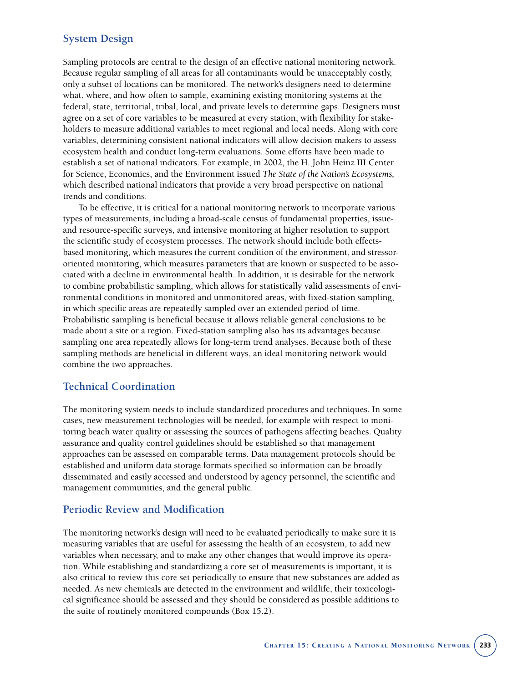## **System Design**

Sampling protocols are central to the design of an effective national monitoring network. Because regular sampling of all areas for all contaminants would be unacceptably costly, only a subset of locations can be monitored. The network's designers need to determine what, where, and how often to sample, examining existing monitoring systems at the federal, state, territorial, tribal, local, and private levels to determine gaps. Designers must agree on a set of core variables to be measured at every station, with flexibility for stakeholders to measure additional variables to meet regional and local needs. Along with core variables, determining consistent national indicators will allow decision makers to assess ecosystem health and conduct long-term evaluations. Some efforts have been made to establish a set of national indicators. For example, in 2002, the H. John Heinz III Center for Science, Economics, and the Environment issued *The State of the Nation's Ecosystems,* which described national indicators that provide a very broad perspective on national trends and conditions.

To be effective, it is critical for a national monitoring network to incorporate various types of measurements, including a broad-scale census of fundamental properties, issueand resource-specific surveys, and intensive monitoring at higher resolution to support the scientific study of ecosystem processes. The network should include both effectsbased monitoring, which measures the current condition of the environment, and stressororiented monitoring, which measures parameters that are known or suspected to be associated with a decline in environmental health. In addition, it is desirable for the network to combine probabilistic sampling, which allows for statistically valid assessments of environmental conditions in monitored and unmonitored areas, with fixed-station sampling, in which specific areas are repeatedly sampled over an extended period of time. Probabilistic sampling is beneficial because it allows reliable general conclusions to be made about a site or a region. Fixed-station sampling also has its advantages because sampling one area repeatedly allows for long-term trend analyses. Because both of these sampling methods are beneficial in different ways, an ideal monitoring network would combine the two approaches.

## **Technical Coordination**

The monitoring system needs to include standardized procedures and techniques. In some cases, new measurement technologies will be needed, for example with respect to monitoring beach water quality or assessing the sources of pathogens affecting beaches. Quality assurance and quality control guidelines should be established so that management approaches can be assessed on comparable terms. Data management protocols should be established and uniform data storage formats specified so information can be broadly disseminated and easily accessed and understood by agency personnel, the scientific and management communities, and the general public.

#### **Periodic Review and Modification**

The monitoring network's design will need to be evaluated periodically to make sure it is measuring variables that are useful for assessing the health of an ecosystem, to add new variables when necessary, and to make any other changes that would improve its operation. While establishing and standardizing a core set of measurements is important, it is also critical to review this core set periodically to ensure that new substances are added as needed. As new chemicals are detected in the environment and wildlife, their toxicological significance should be assessed and they should be considered as possible additions to the suite of routinely monitored compounds (Box 15.2).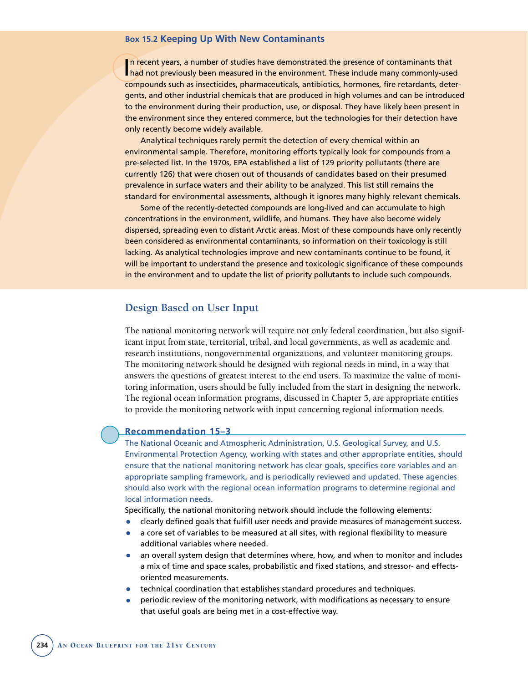#### **Box 15.2 Keeping Up With New Contaminants**

In recent years, a number of studies have demonstrated the presence of contaminants that<br>I had not previously been measured in the environment. These include many commonly-use had not previously been measured in the environment. These include many commonly-used compounds such as insecticides, pharmaceuticals, antibiotics, hormones, fire retardants, detergents, and other industrial chemicals that are produced in high volumes and can be introduced to the environment during their production, use, or disposal. They have likely been present in the environment since they entered commerce, but the technologies for their detection have only recently become widely available.

Analytical techniques rarely permit the detection of every chemical within an environmental sample. Therefore, monitoring efforts typically look for compounds from a pre-selected list. In the 1970s, EPA established a list of 129 priority pollutants (there are currently 126) that were chosen out of thousands of candidates based on their presumed prevalence in surface waters and their ability to be analyzed. This list still remains the standard for environmental assessments, although it ignores many highly relevant chemicals.

Some of the recently-detected compounds are long-lived and can accumulate to high concentrations in the environment, wildlife, and humans. They have also become widely dispersed, spreading even to distant Arctic areas. Most of these compounds have only recently been considered as environmental contaminants, so information on their toxicology is still lacking. As analytical technologies improve and new contaminants continue to be found, it will be important to understand the presence and toxicologic significance of these compounds in the environment and to update the list of priority pollutants to include such compounds.

## **Design Based on User Input**

The national monitoring network will require not only federal coordination, but also significant input from state, territorial, tribal, and local governments, as well as academic and research institutions, nongovernmental organizations, and volunteer monitoring groups. The monitoring network should be designed with regional needs in mind, in a way that answers the questions of greatest interest to the end users. To maximize the value of monitoring information, users should be fully included from the start in designing the network. The regional ocean information programs, discussed in Chapter 5, are appropriate entities to provide the monitoring network with input concerning regional information needs.

#### **Recommendation 15–3**

The National Oceanic and Atmospheric Administration, U.S. Geological Survey, and U.S. Environmental Protection Agency, working with states and other appropriate entities, should ensure that the national monitoring network has clear goals, specifies core variables and an appropriate sampling framework, and is periodically reviewed and updated. These agencies should also work with the regional ocean information programs to determine regional and local information needs.

Specifically, the national monitoring network should include the following elements:

- clearly defined goals that fulfill user needs and provide measures of management success.<br>• a core set of variables to be measured at all sites, with regional flexibility to measure
- a core set of variables to be measured at all sites, with regional flexibility to measure additional variables where needed.
- an overall system design that determines where, how, and when to monitor and includes a mix of time and space scales, probabilistic and fixed stations, and stressor- and effectsoriented measurements.
- technical coordination that establishes standard procedures and techniques.
- periodic review of the monitoring network, with modifications as necessary to ensure that useful goals are being met in a cost-effective way.